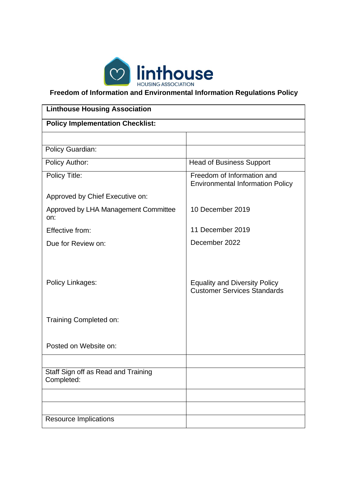

**Freedom of Information and Environmental Information Regulations Policy**

| <b>Linthouse Housing Association</b>              |                                                                            |  |  |
|---------------------------------------------------|----------------------------------------------------------------------------|--|--|
| <b>Policy Implementation Checklist:</b>           |                                                                            |  |  |
|                                                   |                                                                            |  |  |
| <b>Policy Guardian:</b>                           |                                                                            |  |  |
| Policy Author:                                    | <b>Head of Business Support</b>                                            |  |  |
| Policy Title:                                     | Freedom of Information and<br><b>Environmental Information Policy</b>      |  |  |
| Approved by Chief Executive on:                   |                                                                            |  |  |
| Approved by LHA Management Committee<br>on:       | 10 December 2019                                                           |  |  |
| Effective from:                                   | 11 December 2019                                                           |  |  |
| Due for Review on:                                | December 2022                                                              |  |  |
| Policy Linkages:                                  | <b>Equality and Diversity Policy</b><br><b>Customer Services Standards</b> |  |  |
| Training Completed on:                            |                                                                            |  |  |
| Posted on Website on:                             |                                                                            |  |  |
|                                                   |                                                                            |  |  |
| Staff Sign off as Read and Training<br>Completed: |                                                                            |  |  |
|                                                   |                                                                            |  |  |
|                                                   |                                                                            |  |  |
| <b>Resource Implications</b>                      |                                                                            |  |  |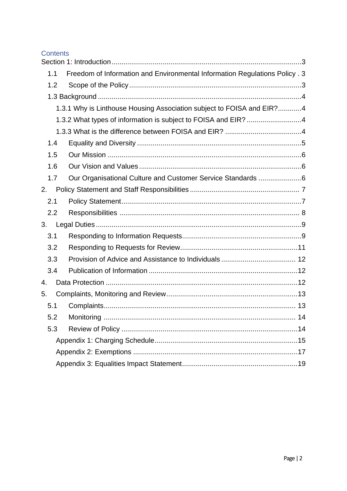### **Contents**

| 1.1 | Freedom of Information and Environmental Information Regulations Policy. 3 |  |
|-----|----------------------------------------------------------------------------|--|
| 1.2 |                                                                            |  |
|     |                                                                            |  |
|     | 1.3.1 Why is Linthouse Housing Association subject to FOISA and EIR?4      |  |
|     | 1.3.2 What types of information is subject to FOISA and EIR? 4             |  |
|     |                                                                            |  |
| 1.4 |                                                                            |  |
| 1.5 |                                                                            |  |
| 1.6 |                                                                            |  |
| 1.7 | Our Organisational Culture and Customer Service Standards 6                |  |
| 2.  |                                                                            |  |
| 2.1 |                                                                            |  |
| 2.2 |                                                                            |  |
| 3.  |                                                                            |  |
| 3.1 |                                                                            |  |
| 3.2 |                                                                            |  |
| 3.3 |                                                                            |  |
| 3.4 |                                                                            |  |
| 4.  |                                                                            |  |
| 5.  |                                                                            |  |
| 5.1 |                                                                            |  |
| 5.2 | . 14                                                                       |  |
| 5.3 |                                                                            |  |
|     |                                                                            |  |
|     |                                                                            |  |
|     |                                                                            |  |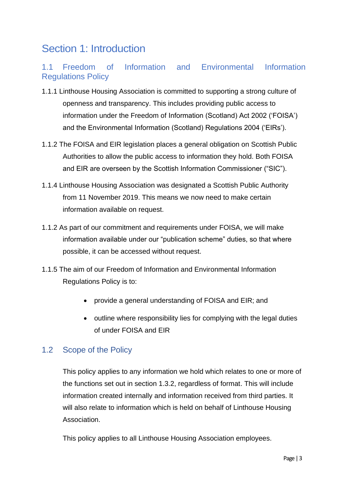# Section 1: Introduction

# 1.1 Freedom of Information and Environmental Information Regulations Policy

- 1.1.1 Linthouse Housing Association is committed to supporting a strong culture of openness and transparency. This includes providing public access to information under the Freedom of Information (Scotland) Act 2002 ('FOISA') and the Environmental Information (Scotland) Regulations 2004 ('EIRs').
- 1.1.2 The FOISA and EIR legislation places a general obligation on Scottish Public Authorities to allow the public access to information they hold. Both FOISA and EIR are overseen by the Scottish Information Commissioner ("SIC").
- 1.1.4 Linthouse Housing Association was designated a Scottish Public Authority from 11 November 2019. This means we now need to make certain information available on request.
- 1.1.2 As part of our commitment and requirements under FOISA, we will make information available under our "publication scheme" duties, so that where possible, it can be accessed without request.
- 1.1.5 The aim of our Freedom of Information and Environmental Information Regulations Policy is to:
	- provide a general understanding of FOISA and EIR; and
	- outline where responsibility lies for complying with the legal duties of under FOISA and EIR

# 1.2 Scope of the Policy

This policy applies to any information we hold which relates to one or more of the functions set out in section 1.3.2, regardless of format. This will include information created internally and information received from third parties. It will also relate to information which is held on behalf of Linthouse Housing Association.

This policy applies to all Linthouse Housing Association employees.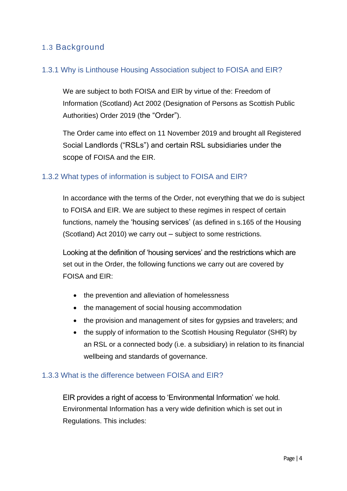# 1.3 Background

### 1.3.1 Why is Linthouse Housing Association subject to FOISA and EIR?

We are subject to both FOISA and EIR by virtue of the: Freedom of Information (Scotland) Act 2002 (Designation of Persons as Scottish Public Authorities) Order 2019 (the "Order").

The Order came into effect on 11 November 2019 and brought all Registered Social Landlords ("RSLs") and certain RSL subsidiaries under the scope of FOISA and the EIR.

### 1.3.2 What types of information is subject to FOISA and EIR?

In accordance with the terms of the Order, not everything that we do is subject to FOISA and EIR. We are subject to these regimes in respect of certain functions, namely the 'housing services' (as defined in s.165 of the Housing (Scotland) Act 2010) we carry out – subject to some restrictions.

Looking at the definition of 'housing services' and the restrictions which are set out in the Order, the following functions we carry out are covered by FOISA and EIR:

- the prevention and alleviation of homelessness
- the management of social housing accommodation
- the provision and management of sites for gypsies and travelers; and
- the supply of information to the Scottish Housing Regulator (SHR) by an RSL or a connected body (i.e. a subsidiary) in relation to its financial wellbeing and standards of governance.

### 1.3.3 What is the difference between FOISA and EIR?

EIR provides a right of access to 'Environmental Information' we hold. Environmental Information has a very wide definition which is set out in Regulations. This includes: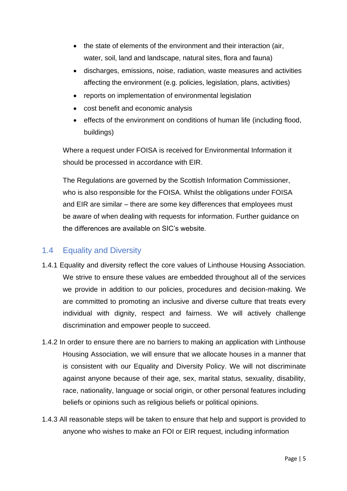- the state of elements of the environment and their interaction (air, water, soil, land and landscape, natural sites, flora and fauna)
- discharges, emissions, noise, radiation, waste measures and activities affecting the environment (e.g. policies, legislation, plans, activities)
- reports on implementation of environmental legislation
- cost benefit and economic analysis
- effects of the environment on conditions of human life (including flood, buildings)

Where a request under FOISA is received for Environmental Information it should be processed in accordance with EIR.

The Regulations are governed by the Scottish Information Commissioner, who is also responsible for the FOISA. Whilst the obligations under FOISA and EIR are similar – there are some key differences that employees must be aware of when dealing with requests for information. Further guidance on the differences are available on SIC's website.

# 1.4 Equality and Diversity

- 1.4.1 Equality and diversity reflect the core values of Linthouse Housing Association. We strive to ensure these values are embedded throughout all of the services we provide in addition to our policies, procedures and decision-making. We are committed to promoting an inclusive and diverse culture that treats every individual with dignity, respect and fairness. We will actively challenge discrimination and empower people to succeed.
- 1.4.2 In order to ensure there are no barriers to making an application with Linthouse Housing Association, we will ensure that we allocate houses in a manner that is consistent with our Equality and Diversity Policy. We will not discriminate against anyone because of their age, sex, marital status, sexuality, disability, race, nationality, language or social origin, or other personal features including beliefs or opinions such as religious beliefs or political opinions.
- 1.4.3 All reasonable steps will be taken to ensure that help and support is provided to anyone who wishes to make an FOI or EIR request, including information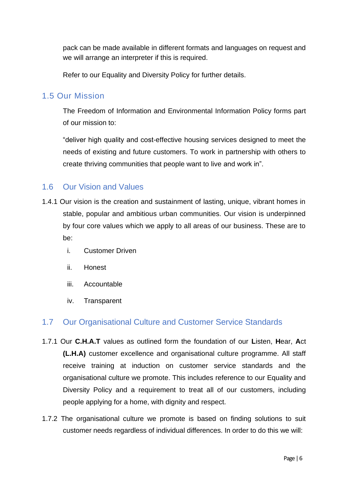pack can be made available in different formats and languages on request and we will arrange an interpreter if this is required.

Refer to our Equality and Diversity Policy for further details.

## 1.5 Our Mission

The Freedom of Information and Environmental Information Policy forms part of our mission to:

"deliver high quality and cost-effective housing services designed to meet the needs of existing and future customers. To work in partnership with others to create thriving communities that people want to live and work in".

## 1.6 Our Vision and Values

- 1.4.1 Our vision is the creation and sustainment of lasting, unique, vibrant homes in stable, popular and ambitious urban communities. Our vision is underpinned by four core values which we apply to all areas of our business. These are to be:
	- i. Customer Driven
	- ii. Honest
	- iii. Accountable
	- iv. Transparent

# 1.7 Our Organisational Culture and Customer Service Standards

- 1.7.1 Our **C.H.A.T** values as outlined form the foundation of our **L**isten, **H**ear, **A**ct **(L.H.A)** customer excellence and organisational culture programme. All staff receive training at induction on customer service standards and the organisational culture we promote. This includes reference to our Equality and Diversity Policy and a requirement to treat all of our customers, including people applying for a home, with dignity and respect.
- 1.7.2 The organisational culture we promote is based on finding solutions to suit customer needs regardless of individual differences. In order to do this we will: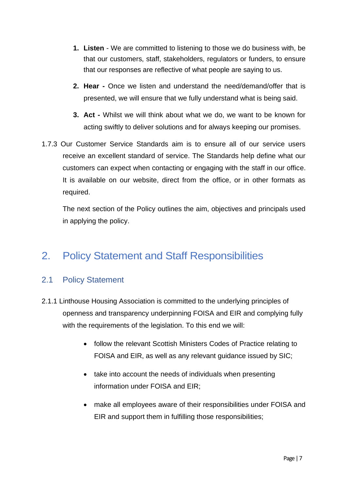- **1. Listen**  We are committed to listening to those we do business with, be that our customers, staff, stakeholders, regulators or funders, to ensure that our responses are reflective of what people are saying to us.
- **2. Hear -** Once we listen and understand the need/demand/offer that is presented, we will ensure that we fully understand what is being said.
- **3. Act -** Whilst we will think about what we do, we want to be known for acting swiftly to deliver solutions and for always keeping our promises.
- 1.7.3 Our Customer Service Standards aim is to ensure all of our service users receive an excellent standard of service. The Standards help define what our customers can expect when contacting or engaging with the staff in our office. It is available on our website, direct from the office, or in other formats as required.

The next section of the Policy outlines the aim, objectives and principals used in applying the policy.

# 2. Policy Statement and Staff Responsibilities

# 2.1 Policy Statement

- 2.1.1 Linthouse Housing Association is committed to the underlying principles of openness and transparency underpinning FOISA and EIR and complying fully with the requirements of the legislation. To this end we will:
	- follow the relevant Scottish Ministers Codes of Practice relating to FOISA and EIR, as well as any relevant guidance issued by SIC;
	- take into account the needs of individuals when presenting information under FOISA and EIR;
	- make all employees aware of their responsibilities under FOISA and EIR and support them in fulfilling those responsibilities;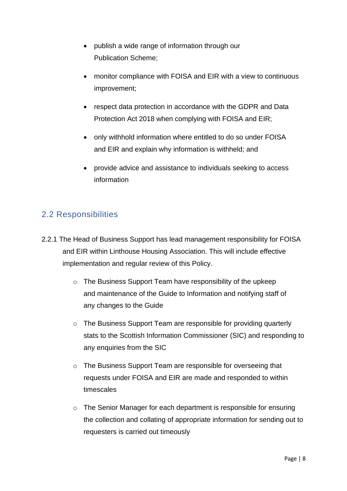- publish a wide range of information through our Publication Scheme;
- monitor compliance with FOISA and EIR with a view to continuous improvement;
- respect data protection in accordance with the GDPR and Data Protection Act 2018 when complying with FOISA and EIR;
- only withhold information where entitled to do so under FOISA and EIR and explain why information is withheld; and
- provide advice and assistance to individuals seeking to access information

# 2.2 Responsibilities

- 2.2.1 The Head of Business Support has lead management responsibility for FOISA and EIR within Linthouse Housing Association. This will include effective implementation and regular review of this Policy.
	- o The Business Support Team have responsibility of the upkeep and maintenance of the Guide to Information and notifying staff of any changes to the Guide
	- o The Business Support Team are responsible for providing quarterly stats to the Scottish Information Commissioner (SIC) and responding to any enquiries from the SIC
	- o The Business Support Team are responsible for overseeing that requests under FOISA and EIR are made and responded to within timescales
	- o The Senior Manager for each department is responsible for ensuring the collection and collating of appropriate information for sending out to requesters is carried out timeously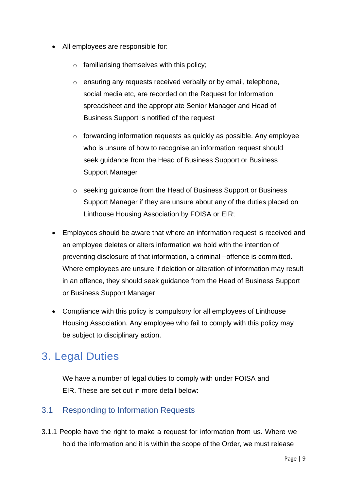- All employees are responsible for:
	- o familiarising themselves with this policy;
	- o ensuring any requests received verbally or by email, telephone, social media etc, are recorded on the Request for Information spreadsheet and the appropriate Senior Manager and Head of Business Support is notified of the request
	- o forwarding information requests as quickly as possible. Any employee who is unsure of how to recognise an information request should seek guidance from the Head of Business Support or Business Support Manager
	- o seeking guidance from the Head of Business Support or Business Support Manager if they are unsure about any of the duties placed on Linthouse Housing Association by FOISA or EIR;
- Employees should be aware that where an information request is received and an employee deletes or alters information we hold with the intention of preventing disclosure of that information, a criminal –offence is committed. Where employees are unsure if deletion or alteration of information may result in an offence, they should seek guidance from the Head of Business Support or Business Support Manager
- Compliance with this policy is compulsory for all employees of Linthouse Housing Association. Any employee who fail to comply with this policy may be subject to disciplinary action.

# 3. Legal Duties

We have a number of legal duties to comply with under FOISA and EIR. These are set out in more detail below:

## 3.1 Responding to Information Requests

3.1.1 People have the right to make a request for information from us. Where we hold the information and it is within the scope of the Order, we must release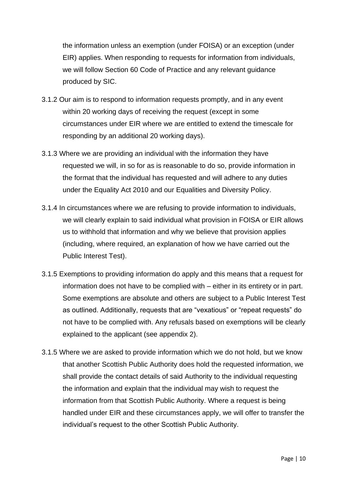the information unless an exemption (under FOISA) or an exception (under EIR) applies. When responding to requests for information from individuals, we will follow Section 60 Code of Practice and any relevant guidance produced by SIC.

- 3.1.2 Our aim is to respond to information requests promptly, and in any event within 20 working days of receiving the request (except in some circumstances under EIR where we are entitled to extend the timescale for responding by an additional 20 working days).
- 3.1.3 Where we are providing an individual with the information they have requested we will, in so for as is reasonable to do so, provide information in the format that the individual has requested and will adhere to any duties under the Equality Act 2010 and our Equalities and Diversity Policy.
- 3.1.4 In circumstances where we are refusing to provide information to individuals, we will clearly explain to said individual what provision in FOISA or EIR allows us to withhold that information and why we believe that provision applies (including, where required, an explanation of how we have carried out the Public Interest Test).
- 3.1.5 Exemptions to providing information do apply and this means that a request for information does not have to be complied with – either in its entirety or in part. Some exemptions are absolute and others are subject to a Public Interest Test as outlined. Additionally, requests that are "vexatious" or "repeat requests" do not have to be complied with. Any refusals based on exemptions will be clearly explained to the applicant (see appendix 2).
- 3.1.5 Where we are asked to provide information which we do not hold, but we know that another Scottish Public Authority does hold the requested information, we shall provide the contact details of said Authority to the individual requesting the information and explain that the individual may wish to request the information from that Scottish Public Authority. Where a request is being handled under EIR and these circumstances apply, we will offer to transfer the individual's request to the other Scottish Public Authority.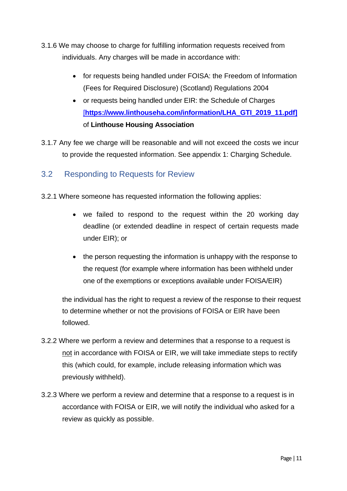- 3.1.6 We may choose to charge for fulfilling information requests received from individuals. Any charges will be made in accordance with:
	- for requests being handled under FOISA: the Freedom of Information (Fees for Required Disclosure) (Scotland) Regulations 2004
	- or requests being handled under EIR: the Schedule of Charges [\[](https://www.linthouseha.com/information/LHA_GTI_2019_11.pdf)**[https://www.linthouseha.com/information/LHA\\_GTI\\_2019\\_11.pdf\]](https://of/)** of **Linthouse Housing Association**
- 3.1.7 Any fee we charge will be reasonable and will not exceed the costs we incur to provide the requested information. See appendix 1: Charging Schedule.

# 3.2 Responding to Requests for Review

- 3.2.1 Where someone has requested information the following applies:
	- we failed to respond to the request within the 20 working day deadline (or extended deadline in respect of certain requests made under EIR); or
	- the person requesting the information is unhappy with the response to the request (for example where information has been withheld under one of the exemptions or exceptions available under FOISA/EIR)

the individual has the right to request a review of the response to their request to determine whether or not the provisions of FOISA or EIR have been followed.

- 3.2.2 Where we perform a review and determines that a response to a request is not in accordance with FOISA or EIR, we will take immediate steps to rectify this (which could, for example, include releasing information which was previously withheld).
- 3.2.3 Where we perform a review and determine that a response to a request is in accordance with FOISA or EIR, we will notify the individual who asked for a review as quickly as possible.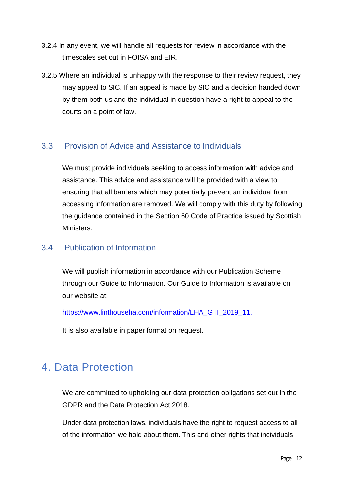- 3.2.4 In any event, we will handle all requests for review in accordance with the timescales set out in FOISA and EIR.
- 3.2.5 Where an individual is unhappy with the response to their review request, they may appeal to SIC. If an appeal is made by SIC and a decision handed down by them both us and the individual in question have a right to appeal to the courts on a point of law.

# 3.3 Provision of Advice and Assistance to Individuals

We must provide individuals seeking to access information with advice and assistance. This advice and assistance will be provided with a view to ensuring that all barriers which may potentially prevent an individual from accessing information are removed. We will comply with this duty by following the guidance contained in the Section 60 Code of Practice issued by Scottish Ministers.

## 3.4 Publication of Information

We will publish information in accordance with our Publication Scheme through our Guide to Information. Our Guide to Information is available on our website at:

https://www.linthouseha.com/information/LHA\_GTI\_2019\_11.

It is also available in paper format on request.

# 4. Data Protection

We are committed to upholding our data protection obligations set out in the GDPR and the Data Protection Act 2018.

Under data protection laws, individuals have the right to request access to all of the information we hold about them. This and other rights that individuals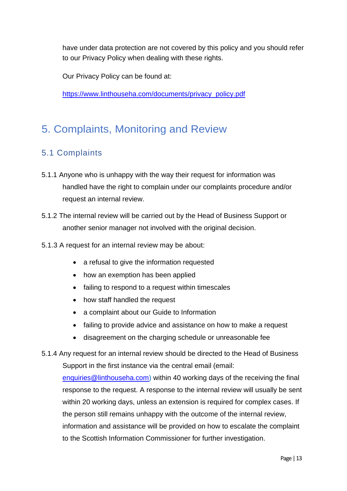have under data protection are not covered by this policy and you should refer to our Privacy Policy when dealing with these rights.

Our Privacy Policy can be found at:

[https://www.linthouseha.com/documents/privacy\\_policy.pdf](https://www.linthouseha.com/documents/privacy_policy.pdf)

# 5. Complaints, Monitoring and Review

# 5.1 Complaints

- 5.1.1 Anyone who is unhappy with the way their request for information was handled have the right to complain under our complaints procedure and/or request an internal review.
- 5.1.2 The internal review will be carried out by the Head of Business Support or another senior manager not involved with the original decision.
- 5.1.3 A request for an internal review may be about:
	- a refusal to give the information requested
	- how an exemption has been applied
	- failing to respond to a request within timescales
	- how staff handled the request
	- a complaint about our Guide to Information
	- failing to provide advice and assistance on how to make a request
	- disagreement on the charging schedule or unreasonable fee
- 5.1.4 Any request for an internal review should be directed to the Head of Business Support in the first instance via the central email (email:

[enquiries@linthouseha.com\)](mailto:enquiries@linthouseha.com) within 40 working days of the receiving the final response to the request. A response to the internal review will usually be sent within 20 working days, unless an extension is required for complex cases. If the person still remains unhappy with the outcome of the internal review, information and assistance will be provided on how to escalate the complaint to the Scottish Information Commissioner for further investigation.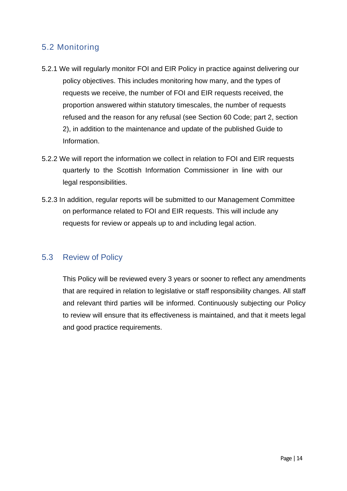# 5.2 Monitoring

- 5.2.1 We will regularly monitor FOI and EIR Policy in practice against delivering our policy objectives. This includes monitoring how many, and the types of requests we receive, the number of FOI and EIR requests received, the proportion answered within statutory timescales, the number of requests refused and the reason for any refusal (see Section 60 Code; part 2, section 2), in addition to the maintenance and update of the published Guide to Information.
- 5.2.2 We will report the information we collect in relation to FOI and EIR requests quarterly to the Scottish Information Commissioner in line with our legal responsibilities.
- 5.2.3 In addition, regular reports will be submitted to our Management Committee on performance related to FOI and EIR requests. This will include any requests for review or appeals up to and including legal action.

## 5.3 Review of Policy

This Policy will be reviewed every 3 years or sooner to reflect any amendments that are required in relation to legislative or staff responsibility changes. All staff and relevant third parties will be informed. Continuously subjecting our Policy to review will ensure that its effectiveness is maintained, and that it meets legal and good practice requirements.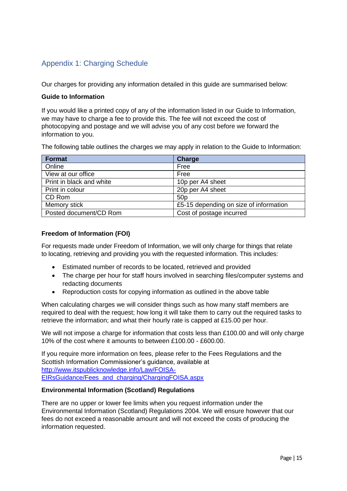# Appendix 1: Charging Schedule

Our charges for providing any information detailed in this guide are summarised below:

#### **Guide to Information**

If you would like a printed copy of any of the information listed in our Guide to Information, we may have to charge a fee to provide this. The fee will not exceed the cost of photocopying and postage and we will advise you of any cost before we forward the information to you.

The following table outlines the charges we may apply in relation to the Guide to Information:

| <b>Format</b>            | <b>Charge</b>                          |
|--------------------------|----------------------------------------|
| Online                   | Free                                   |
| View at our office       | Free                                   |
| Print in black and white | 10p per A4 sheet                       |
| Print in colour          | 20p per A4 sheet                       |
| CD Rom                   | 50 <sub>p</sub>                        |
| Memory stick             | £5-15 depending on size of information |
| Posted document/CD Rom   | Cost of postage incurred               |

#### **Freedom of Information (FOI)**

For requests made under Freedom of Information, we will only charge for things that relate to locating, retrieving and providing you with the requested information. This includes:

- Estimated number of records to be located, retrieved and provided
- The charge per hour for staff hours involved in searching files/computer systems and redacting documents
- Reproduction costs for copying information as outlined in the above table

When calculating charges we will consider things such as how many staff members are required to deal with the request; how long it will take them to carry out the required tasks to retrieve the information; and what their hourly rate is capped at £15.00 per hour.

We will not impose a charge for information that costs less than £100.00 and will only charge 10% of the cost where it amounts to between £100.00 - £600.00.

If you require more information on fees, please refer to the Fees Regulations and the Scottish Information Commissioner's guidance, available at [http://www.itspublicknowledge.info/Law/FOISA-](http://www.itspublicknowledge.info/Law/FOISA-EIRsGuidance/Fees_and_charging/ChargingFOISA.aspx)[EIRsGuidance/Fees\\_and\\_charging/ChargingFOISA.aspx](http://www.itspublicknowledge.info/Law/FOISA-EIRsGuidance/Fees_and_charging/ChargingFOISA.aspx)

#### **Environmental Information (Scotland) Regulations**

There are no upper or lower fee limits when you request information under the Environmental Information (Scotland) Regulations 2004. We will ensure however that our fees do not exceed a reasonable amount and will not exceed the costs of producing the information requested.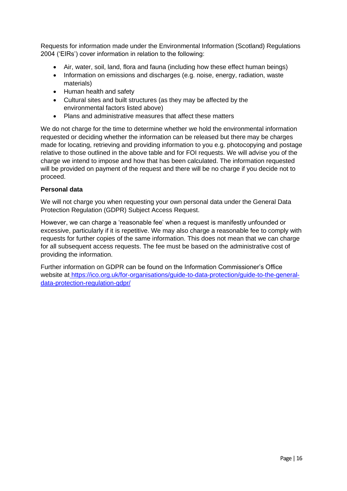Requests for information made under the Environmental Information (Scotland) Regulations 2004 ('EIRs') cover information in relation to the following:

- Air, water, soil, land, flora and fauna (including how these effect human beings)
- Information on emissions and discharges (e.g. noise, energy, radiation, waste materials)
- Human health and safety
- Cultural sites and built structures (as they may be affected by the environmental factors listed above)
- Plans and administrative measures that affect these matters

We do not charge for the time to determine whether we hold the environmental information requested or deciding whether the information can be released but there may be charges made for locating, retrieving and providing information to you e.g. photocopying and postage relative to those outlined in the above table and for FOI requests. We will advise you of the charge we intend to impose and how that has been calculated. The information requested will be provided on payment of the request and there will be no charge if you decide not to proceed.

#### **Personal data**

We will not charge you when requesting your own personal data under the General Data Protection Regulation (GDPR) Subject Access Request.

However, we can charge a 'reasonable fee' when a request is manifestly unfounded or excessive, particularly if it is repetitive. We may also charge a reasonable fee to comply with requests for further copies of the same information. This does not mean that we can charge for all subsequent access requests. The fee must be based on the administrative cost of providing the information.

Further information on GDPR can be found on the Information Commissioner's Office website at [https://ico.org.uk/for-organisations/guide-to-data-protection/guide-to-the-general](https://ico.org.uk/for-organisations/guide-to-data-protection/guide-to-the-general-data-protection-regulation-gdpr/)[data-protection-regulation-gdpr/](https://ico.org.uk/for-organisations/guide-to-data-protection/guide-to-the-general-data-protection-regulation-gdpr/)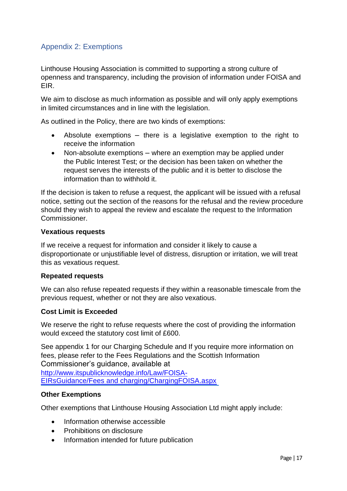## Appendix 2: Exemptions

Linthouse Housing Association is committed to supporting a strong culture of openness and transparency, including the provision of information under FOISA and EIR.

We aim to disclose as much information as possible and will only apply exemptions in limited circumstances and in line with the legislation.

As outlined in the Policy, there are two kinds of exemptions:

- Absolute exemptions there is a legislative exemption to the right to receive the information
- Non-absolute exemptions where an exemption may be applied under the Public Interest Test; or the decision has been taken on whether the request serves the interests of the public and it is better to disclose the information than to withhold it.

If the decision is taken to refuse a request, the applicant will be issued with a refusal notice, setting out the section of the reasons for the refusal and the review procedure should they wish to appeal the review and escalate the request to the Information Commissioner.

#### **Vexatious requests**

If we receive a request for information and consider it likely to cause a disproportionate or unjustifiable level of distress, disruption or irritation, we will treat this as vexatious request.

### **Repeated requests**

We can also refuse repeated requests if they within a reasonable timescale from the previous request, whether or not they are also vexatious.

### **Cost Limit is Exceeded**

We reserve the right to refuse requests where the cost of providing the information would exceed the statutory cost limit of £600.

See appendix 1 for our Charging Schedule and If you require more information on fees, please refer to the Fees Regulations and the Scottish Information Commissioner's guidance, available at [http://www.itspublicknowledge.info/Law/FOISA-](http://www.itspublicknowledge.info/Law/FOISA-EIRsGuidance/Fees_and_charging/ChargingFOISA.aspx)[EIRsGuidance/Fees and charging/ChargingFOISA.aspx](http://www.itspublicknowledge.info/Law/FOISA-EIRsGuidance/Fees_and_charging/ChargingFOISA.aspx)

### **Other Exemptions**

Other exemptions that Linthouse Housing Association Ltd might apply include:

- Information otherwise accessible
- Prohibitions on disclosure
- Information intended for future publication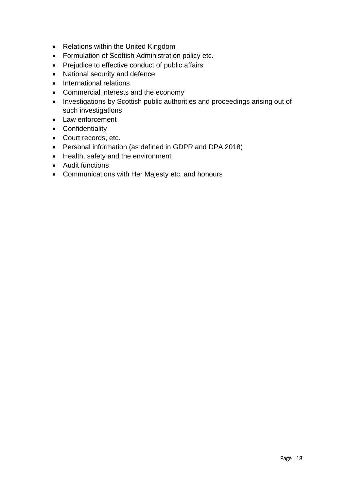- Relations within the United Kingdom
- Formulation of Scottish Administration policy etc.
- Prejudice to effective conduct of public affairs
- National security and defence
- International relations
- Commercial interests and the economy
- Investigations by Scottish public authorities and proceedings arising out of such investigations
- Law enforcement
- Confidentiality
- Court records, etc.
- Personal information (as defined in GDPR and DPA 2018)
- Health, safety and the environment
- Audit functions
- Communications with Her Majesty etc. and honours